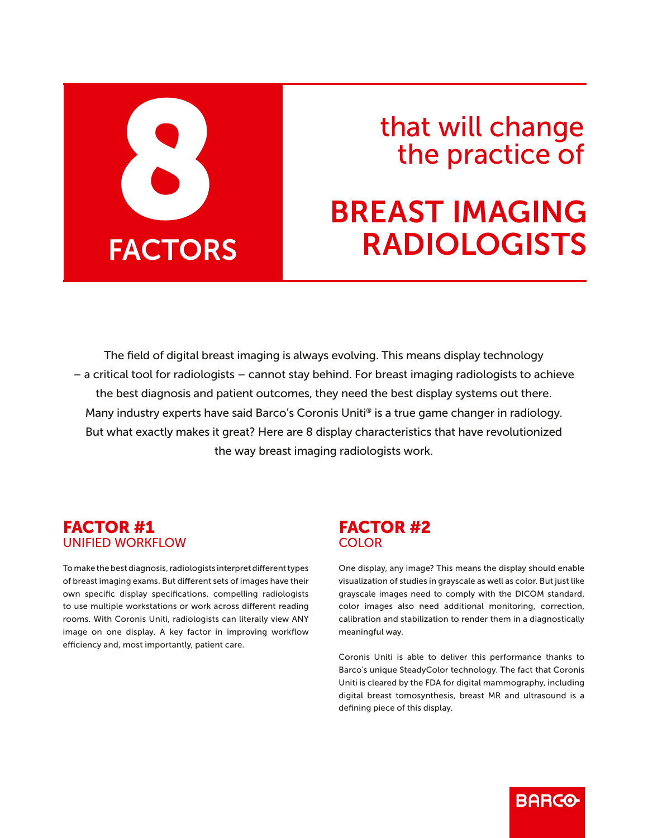

## that will change the practice of

# BREAST IMAGING RADIOLOGISTS

The field of digital breast imaging is always evolving. This means display technology – a critical tool for radiologists – cannot stay behind. For breast imaging radiologists to achieve the best diagnosis and patient outcomes, they need the best display systems out there. Many industry experts have said Barco's Coronis Uniti® is a true game changer in radiology. But what exactly makes it great? Here are 8 display characteristics that have revolutionized the way breast imaging radiologists work.

#### FACTOR #1 UNIFIED WORKFLOW

To make the best diagnosis, radiologists interpret different types of breast imaging exams. But different sets of images have their own specific display specifications, compelling radiologists to use multiple workstations or work across different reading rooms. With Coronis Uniti, radiologists can literally view ANY image on one display. A key factor in improving workflow efficiency and, most importantly, patient care.

### FACTOR #2 COLOR

One display, any image? This means the display should enable visualization of studies in grayscale as well as color. But just like grayscale images need to comply with the DICOM standard, color images also need additional monitoring, correction, calibration and stabilization to render them in a diagnostically meaningful way.

Coronis Uniti is able to deliver this performance thanks to Barco's unique SteadyColor technology. The fact that Coronis Uniti is cleared by the FDA for digital mammography, including digital breast tomosynthesis, breast MR and ultrasound is a defining piece of this display.